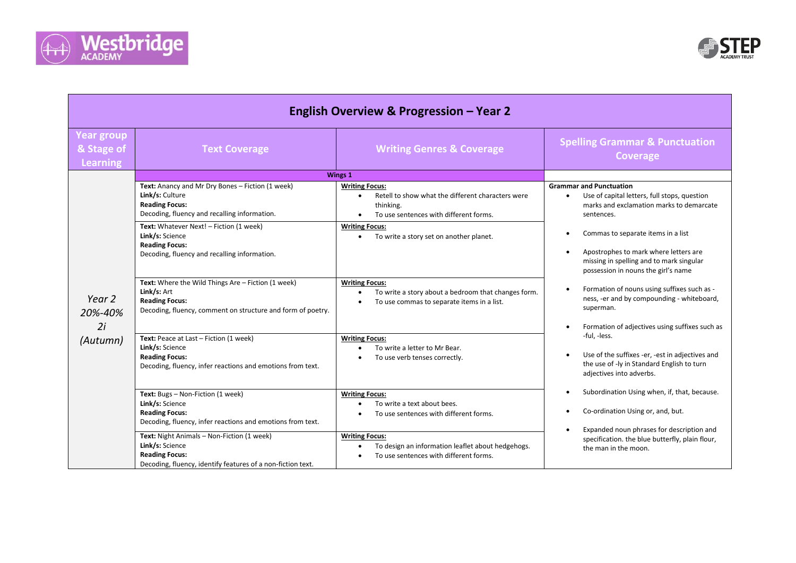



| <b>English Overview &amp; Progression - Year 2</b> |                                                                                                                                                                                                                                                                                     |                                                                                                                                                                                                       |                                                                                                                                                                                                                                                                       |
|----------------------------------------------------|-------------------------------------------------------------------------------------------------------------------------------------------------------------------------------------------------------------------------------------------------------------------------------------|-------------------------------------------------------------------------------------------------------------------------------------------------------------------------------------------------------|-----------------------------------------------------------------------------------------------------------------------------------------------------------------------------------------------------------------------------------------------------------------------|
| <b>Year group</b><br>& Stage of<br><b>Learning</b> | <b>Text Coverage</b>                                                                                                                                                                                                                                                                | <b>Writing Genres &amp; Coverage</b>                                                                                                                                                                  | <b>Spelling Grammar &amp; Punctuation</b><br><b>Coverage</b>                                                                                                                                                                                                          |
|                                                    |                                                                                                                                                                                                                                                                                     | Wings 1                                                                                                                                                                                               |                                                                                                                                                                                                                                                                       |
| Year 2<br>20%-40%<br>2i<br>(Autumn)                | Text: Anancy and Mr Dry Bones - Fiction (1 week)<br>Link/s: Culture<br><b>Reading Focus:</b><br>Decoding, fluency and recalling information.<br>Text: Whatever Next! - Fiction (1 week)<br>Link/s: Science<br><b>Reading Focus:</b><br>Decoding, fluency and recalling information. | <b>Writing Focus:</b><br>Retell to show what the different characters were<br>thinking.<br>To use sentences with different forms.<br><b>Writing Focus:</b><br>To write a story set on another planet. | <b>Grammar and Punctuation</b><br>Use of capital letters, full stops, question<br>$\bullet$<br>marks and exclamation marks to demarcate<br>sentences.<br>Commas to separate items in a list<br>$\bullet$<br>Apostrophes to mark where letters are<br>$\bullet$        |
|                                                    | Text: Where the Wild Things Are - Fiction (1 week)<br>Link/s: Art<br><b>Reading Focus:</b><br>Decoding, fluency, comment on structure and form of poetry.                                                                                                                           | <b>Writing Focus:</b><br>To write a story about a bedroom that changes form.<br>To use commas to separate items in a list.<br>$\bullet$                                                               | missing in spelling and to mark singular<br>possession in nouns the girl's name<br>Formation of nouns using suffixes such as -<br>$\bullet$<br>ness, -er and by compounding - whiteboard,<br>superman.<br>Formation of adjectives using suffixes such as<br>$\bullet$ |
|                                                    | Text: Peace at Last - Fiction (1 week)<br>Link/s: Science<br><b>Reading Focus:</b><br>Decoding, fluency, infer reactions and emotions from text.                                                                                                                                    | <b>Writing Focus:</b><br>To write a letter to Mr Bear.<br>To use verb tenses correctly.                                                                                                               | -ful, -less.<br>Use of the suffixes -er, -est in adjectives and<br>$\bullet$<br>the use of -ly in Standard English to turn<br>adjectives into adverbs.                                                                                                                |
|                                                    | Text: Bugs - Non-Fiction (1 week)<br>Link/s: Science<br><b>Reading Focus:</b><br>Decoding, fluency, infer reactions and emotions from text.                                                                                                                                         | <b>Writing Focus:</b><br>To write a text about bees.<br>$\bullet$<br>To use sentences with different forms.                                                                                           | Subordination Using when, if, that, because.<br>Co-ordination Using or, and, but.                                                                                                                                                                                     |
|                                                    | Text: Night Animals - Non-Fiction (1 week)<br>Link/s: Science<br><b>Reading Focus:</b><br>Decoding, fluency, identify features of a non-fiction text.                                                                                                                               | <b>Writing Focus:</b><br>To design an information leaflet about hedgehogs.<br>To use sentences with different forms.                                                                                  | Expanded noun phrases for description and<br>specification. the blue butterfly, plain flour,<br>the man in the moon.                                                                                                                                                  |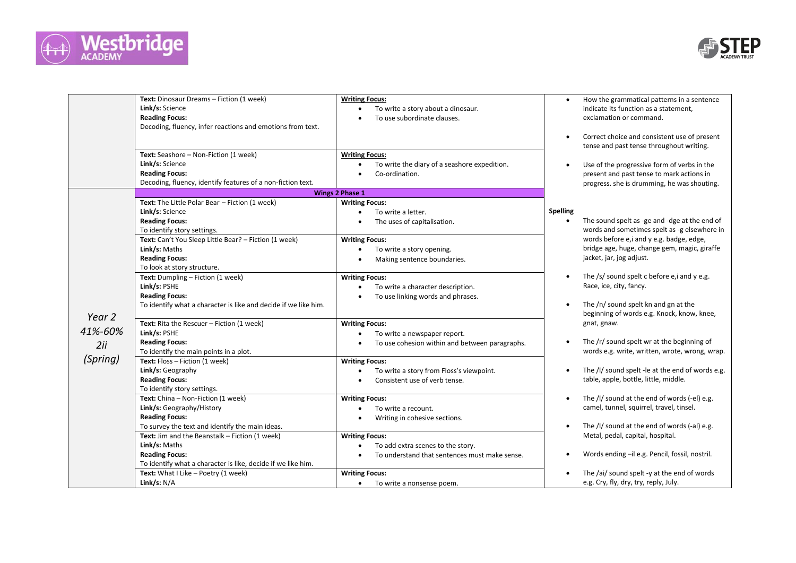



|          | Text: Dinosaur Dreams - Fiction (1 week)<br>Link/s: Science<br><b>Reading Focus:</b><br>Decoding, fluency, infer reactions and emotions from text. | <b>Writing Focus:</b><br>To write a story about a dinosaur.<br>To use subordinate clauses. |           | How the grammatical patterns in a sentence<br>indicate its function as a statement,<br>exclamation or command. |
|----------|----------------------------------------------------------------------------------------------------------------------------------------------------|--------------------------------------------------------------------------------------------|-----------|----------------------------------------------------------------------------------------------------------------|
|          |                                                                                                                                                    |                                                                                            | $\bullet$ | Correct choice and consistent use of present<br>tense and past tense throughout writing.                       |
|          | Text: Seashore - Non-Fiction (1 week)                                                                                                              | <b>Writing Focus:</b>                                                                      |           |                                                                                                                |
|          | Link/s: Science                                                                                                                                    | To write the diary of a seashore expedition.                                               |           | Use of the progressive form of verbs in the                                                                    |
|          | <b>Reading Focus:</b>                                                                                                                              | Co-ordination.                                                                             |           | present and past tense to mark actions in                                                                      |
|          | Decoding, fluency, identify features of a non-fiction text.                                                                                        |                                                                                            |           | progress. she is drumming, he was shouting.                                                                    |
|          |                                                                                                                                                    | <b>Wings 2 Phase 1</b>                                                                     |           |                                                                                                                |
|          | Text: The Little Polar Bear - Fiction (1 week)                                                                                                     | <b>Writing Focus:</b>                                                                      |           |                                                                                                                |
|          | Link/s: Science                                                                                                                                    | To write a letter.<br>$\bullet$                                                            | Spelling  |                                                                                                                |
|          | <b>Reading Focus:</b>                                                                                                                              | The uses of capitalisation.                                                                |           | The sound spelt as -ge and -dge at the end of                                                                  |
|          | To identify story settings.                                                                                                                        |                                                                                            |           | words and sometimes spelt as -g elsewhere in                                                                   |
|          | Text: Can't You Sleep Little Bear? - Fiction (1 week)                                                                                              | <b>Writing Focus:</b>                                                                      |           | words before e,i and y e.g. badge, edge,                                                                       |
|          | Link/s: Maths                                                                                                                                      | To write a story opening.<br>$\bullet$                                                     |           | bridge age, huge, change gem, magic, giraffe                                                                   |
|          | <b>Reading Focus:</b>                                                                                                                              | Making sentence boundaries.                                                                |           | jacket, jar, jog adjust.                                                                                       |
|          | To look at story structure.                                                                                                                        |                                                                                            |           |                                                                                                                |
|          | Text: Dumpling - Fiction (1 week)                                                                                                                  | <b>Writing Focus:</b>                                                                      |           | The $/s/$ sound spelt c before e, i and $y e.g.$                                                               |
|          | Link/s: PSHE                                                                                                                                       | To write a character description.                                                          |           | Race, ice, city, fancy.                                                                                        |
|          | <b>Reading Focus:</b>                                                                                                                              | To use linking words and phrases.                                                          |           |                                                                                                                |
|          | To identify what a character is like and decide if we like him.                                                                                    |                                                                                            |           | The /n/ sound spelt kn and gn at the                                                                           |
| Year 2   |                                                                                                                                                    |                                                                                            |           | beginning of words e.g. Knock, know, knee,                                                                     |
| 41%-60%  | Text: Rita the Rescuer - Fiction (1 week)                                                                                                          | <b>Writing Focus:</b>                                                                      |           | gnat, gnaw.                                                                                                    |
|          | Link/s: PSHE                                                                                                                                       | To write a newspaper report.<br>$\bullet$                                                  |           |                                                                                                                |
| 2ii      | <b>Reading Focus:</b>                                                                                                                              | To use cohesion within and between paragraphs.                                             |           | The /r/ sound spelt wr at the beginning of                                                                     |
| (Spring) | To identify the main points in a plot.<br>Text: Floss - Fiction (1 week)                                                                           |                                                                                            |           | words e.g. write, written, wrote, wrong, wrap.                                                                 |
|          |                                                                                                                                                    | <b>Writing Focus:</b>                                                                      |           | The /l/ sound spelt -le at the end of words e.g.                                                               |
|          | Link/s: Geography<br><b>Reading Focus:</b>                                                                                                         | To write a story from Floss's viewpoint.<br>$\bullet$                                      |           | table, apple, bottle, little, middle.                                                                          |
|          |                                                                                                                                                    | Consistent use of verb tense.                                                              |           |                                                                                                                |
|          | To identify story settings.<br>Text: China - Non-Fiction (1 week)                                                                                  |                                                                                            |           | The /l/ sound at the end of words (-el) e.g.                                                                   |
|          | Link/s: Geography/History                                                                                                                          | <b>Writing Focus:</b><br>To write a recount.<br>$\bullet$                                  |           | camel, tunnel, squirrel, travel, tinsel.                                                                       |
|          | <b>Reading Focus:</b>                                                                                                                              |                                                                                            |           |                                                                                                                |
|          | To survey the text and identify the main ideas.                                                                                                    | Writing in cohesive sections.                                                              |           | The /l/ sound at the end of words (-al) e.g.                                                                   |
|          | Text: Jim and the Beanstalk - Fiction (1 week)                                                                                                     | <b>Writing Focus:</b>                                                                      |           | Metal, pedal, capital, hospital.                                                                               |
|          | Link/s: Maths                                                                                                                                      | To add extra scenes to the story.<br>$\bullet$                                             |           |                                                                                                                |
|          | <b>Reading Focus:</b>                                                                                                                              | To understand that sentences must make sense.                                              |           | Words ending -il e.g. Pencil, fossil, nostril.                                                                 |
|          | To identify what a character is like, decide if we like him.                                                                                       |                                                                                            |           |                                                                                                                |
|          | Text: What I Like - Poetry (1 week)                                                                                                                | <b>Writing Focus:</b>                                                                      |           | The /ai/ sound spelt -y at the end of words                                                                    |
|          | Link/s: N/A                                                                                                                                        | To write a nonsense poem.<br>$\bullet$                                                     |           | e.g. Cry, fly, dry, try, reply, July.                                                                          |
|          |                                                                                                                                                    |                                                                                            |           |                                                                                                                |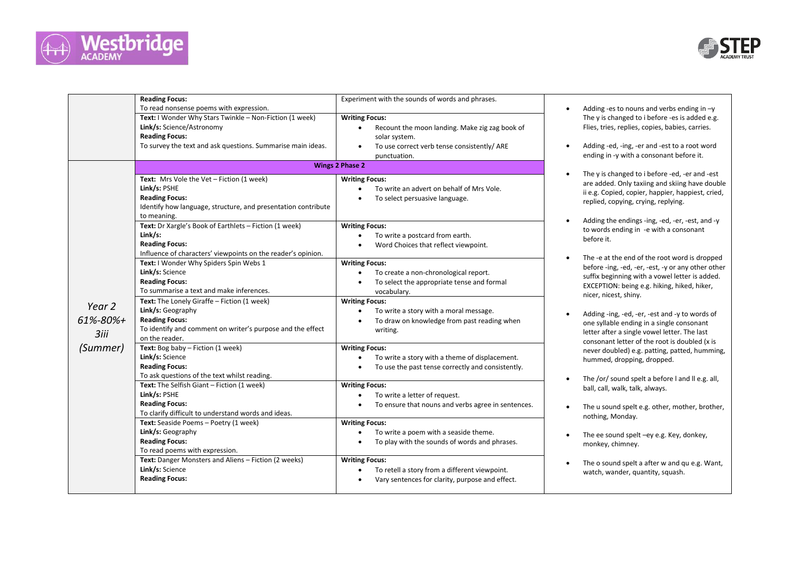



|                           | <b>Reading Focus:</b><br>To read nonsense poems with expression.<br>Text: I Wonder Why Stars Twinkle - Non-Fiction (1 week)<br>Link/s: Science/Astronomy<br><b>Reading Focus:</b><br>To survey the text and ask questions. Summarise main ideas.                                                                                                                                                                                                                                                                                                                                                                              | Experiment with the sounds of words and phrases.<br><b>Writing Focus:</b><br>Recount the moon landing. Make zig zag book of<br>$\bullet$<br>solar system.<br>To use correct verb tense consistently/ ARE<br>$\bullet$<br>punctuation.                                                                                                                                                                                                                                                                                                                                                        | Adding -<br>The $y$ is<br>Flies, trie<br>Adding -                                                                                                                                                  |
|---------------------------|-------------------------------------------------------------------------------------------------------------------------------------------------------------------------------------------------------------------------------------------------------------------------------------------------------------------------------------------------------------------------------------------------------------------------------------------------------------------------------------------------------------------------------------------------------------------------------------------------------------------------------|----------------------------------------------------------------------------------------------------------------------------------------------------------------------------------------------------------------------------------------------------------------------------------------------------------------------------------------------------------------------------------------------------------------------------------------------------------------------------------------------------------------------------------------------------------------------------------------------|----------------------------------------------------------------------------------------------------------------------------------------------------------------------------------------------------|
| Year 2<br>$61\% - 80\% +$ | Text: Mrs Vole the Vet - Fiction (1 week)<br>Link/s: PSHE<br><b>Reading Focus:</b><br>Identify how language, structure, and presentation contribute<br>to meaning.<br>Text: Dr Xargle's Book of Earthlets - Fiction (1 week)<br>Link/s:<br><b>Reading Focus:</b><br>Influence of characters' viewpoints on the reader's opinion.<br>Text: I Wonder Why Spiders Spin Webs 1<br>Link/s: Science<br><b>Reading Focus:</b><br>To summarise a text and make inferences.<br>Text: The Lonely Giraffe - Fiction (1 week)<br>Link/s: Geography<br><b>Reading Focus:</b><br>To identify and comment on writer's purpose and the effect | <b>Wings 2 Phase 2</b><br><b>Writing Focus:</b><br>To write an advert on behalf of Mrs Vole.<br>$\bullet$<br>To select persuasive language.<br><b>Writing Focus:</b><br>To write a postcard from earth.<br>$\bullet$<br>Word Choices that reflect viewpoint.<br><b>Writing Focus:</b><br>To create a non-chronological report.<br>$\bullet$<br>To select the appropriate tense and formal<br>$\bullet$<br>vocabulary.<br><b>Writing Focus:</b><br>To write a story with a moral message.<br>To draw on knowledge from past reading when<br>writing.                                          | ending in<br>The $y$ is<br>are adde<br>ii e.g. Co<br>replied,<br>Adding t<br>to words<br>before it<br>The -e at<br>before -i<br>suffix be<br><b>EXCEPTI</b><br>nicer, nio<br>Adding -<br>one sylla |
| 3iii<br>(Summer)          | on the reader.<br>Text: Bog baby - Fiction (1 week)<br>Link/s: Science<br><b>Reading Focus:</b><br>To ask questions of the text whilst reading.<br>Text: The Selfish Giant - Fiction (1 week)<br>Link/s: PSHE<br><b>Reading Focus:</b><br>To clarify difficult to understand words and ideas.<br>Text: Seaside Poems - Poetry (1 week)<br>Link/s: Geography<br><b>Reading Focus:</b><br>To read poems with expression.<br>Text: Danger Monsters and Aliens - Fiction (2 weeks)<br>Link/s: Science<br><b>Reading Focus:</b>                                                                                                    | <b>Writing Focus:</b><br>To write a story with a theme of displacement.<br>$\bullet$<br>To use the past tense correctly and consistently.<br>$\bullet$<br><b>Writing Focus:</b><br>To write a letter of request.<br>$\bullet$<br>To ensure that nouns and verbs agree in sentences.<br>٠<br><b>Writing Focus:</b><br>To write a poem with a seaside theme.<br>$\bullet$<br>To play with the sounds of words and phrases.<br>$\bullet$<br><b>Writing Focus:</b><br>To retell a story from a different viewpoint.<br>$\bullet$<br>Vary sentences for clarity, purpose and effect.<br>$\bullet$ | letter aft<br>consona<br>never do<br>hummed<br>The /or/<br>ball, call,<br>The u so<br>nothing,<br>The ee s<br>monkey,<br>The o so<br>watch, w                                                      |

- -es to nouns and verbs ending in  $-y$ changed to i before -es is added e.g. ies, replies, copies, babies, carries.
- -ed, -ing, -er and -est to a root word in -y with a consonant before it.
- changed to i before -ed, -er and -est ed. Only taxiing and skiing have double opied, copier, happier, happiest, cried, copying, crying, replying.
- the endings -ing, -ed, -er, -est, and -y s ending in -e with a consonant t.
- t the end of the root word is dropped ing, -ed, -er, -est, -y or any other other eginning with a vowel letter is added. ION: being e.g. hiking, hiked, hiker, icest, shiny.
- -ing, -ed, -er, -est and -y to words of able ending in a single consonant ter a single vowel letter. The last ant letter of the root is doubled (x is oubled) e.g. patting, patted, humming, d, dropping, dropped.
- sound spelt a before I and II e.g. all, walk, talk, always.
- ound spelt e.g. other, mother, brother, Monday.
- sound spelt –ey e.g. Key, donkey, chimney.
- ound spelt a after w and qu e.g. Want, wander, quantity, squash.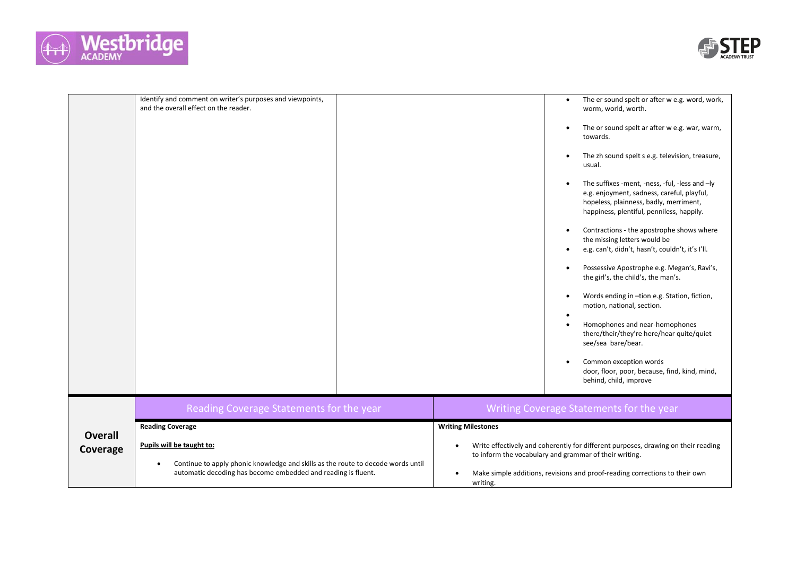



|                | Identify and comment on writer's purposes and viewpoints,<br>and the overall effect on the reader.                                                                                          | The er sound spelt or after w e.g. word, work,<br>worm, world, worth.                                                                                                                                                      |
|----------------|---------------------------------------------------------------------------------------------------------------------------------------------------------------------------------------------|----------------------------------------------------------------------------------------------------------------------------------------------------------------------------------------------------------------------------|
|                |                                                                                                                                                                                             | The or sound spelt ar after w e.g. war, warm,<br>towards.                                                                                                                                                                  |
|                |                                                                                                                                                                                             | The zh sound spelt s e.g. television, treasure,<br>usual.                                                                                                                                                                  |
|                |                                                                                                                                                                                             | The suffixes -ment, -ness, -ful, -less and -ly<br>e.g. enjoyment, sadness, careful, playful,<br>hopeless, plainness, badly, merriment,<br>happiness, plentiful, penniless, happily.                                        |
|                |                                                                                                                                                                                             | Contractions - the apostrophe shows where<br>the missing letters would be<br>e.g. can't, didn't, hasn't, couldn't, it's I'll.                                                                                              |
|                |                                                                                                                                                                                             | Possessive Apostrophe e.g. Megan's, Ravi's,<br>the girl's, the child's, the man's.                                                                                                                                         |
|                |                                                                                                                                                                                             | Words ending in -tion e.g. Station, fiction,<br>motion, national, section.                                                                                                                                                 |
|                |                                                                                                                                                                                             | Homophones and near-homophones<br>there/their/they're here/hear quite/quiet<br>see/sea bare/bear.                                                                                                                          |
|                |                                                                                                                                                                                             | Common exception words<br>door, floor, poor, because, find, kind, mind,<br>behind, child, improve                                                                                                                          |
|                | Reading Coverage Statements for the year                                                                                                                                                    | Writing Coverage Statements for the year                                                                                                                                                                                   |
| <b>Overall</b> | <b>Reading Coverage</b>                                                                                                                                                                     | <b>Writing Milestones</b>                                                                                                                                                                                                  |
| Coverage       | Pupils will be taught to:<br>Continue to apply phonic knowledge and skills as the route to decode words until<br>$\bullet$<br>automatic decoding has become embedded and reading is fluent. | Write effectively and coherently for different purposes, drawing on their reading<br>to inform the vocabulary and grammar of their writing.<br>Make simple additions, revisions and proof-reading corrections to their own |
|                |                                                                                                                                                                                             | writing.                                                                                                                                                                                                                   |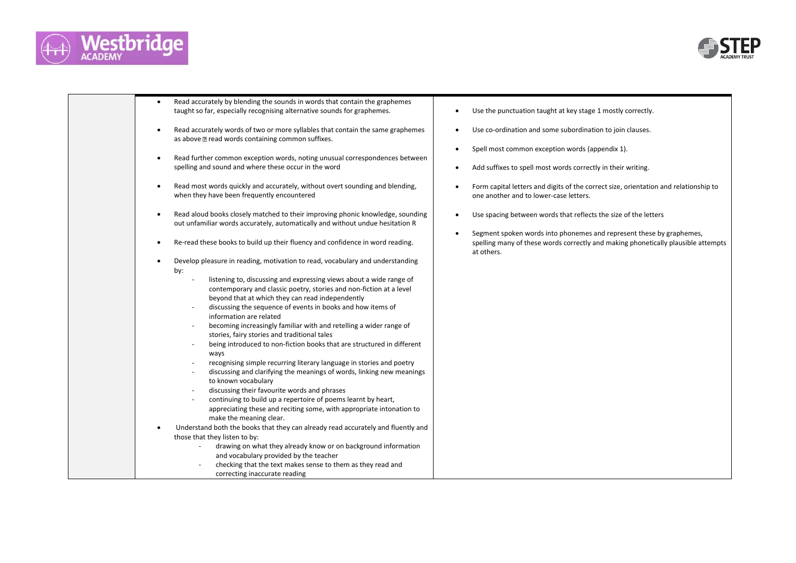



| Read accurately by blending the sounds in words that contain the graphemes<br>taught so far, especially recognising alternative sounds for graphemes.                                                                                                                                                                                                                                                                                                                                                                                                                                                                                                                                                                                                                                                                                                                                                                                                                                                                                                                    | Use the punctuation taught at key stage 1 mostly correctly.                                                                                                             |
|--------------------------------------------------------------------------------------------------------------------------------------------------------------------------------------------------------------------------------------------------------------------------------------------------------------------------------------------------------------------------------------------------------------------------------------------------------------------------------------------------------------------------------------------------------------------------------------------------------------------------------------------------------------------------------------------------------------------------------------------------------------------------------------------------------------------------------------------------------------------------------------------------------------------------------------------------------------------------------------------------------------------------------------------------------------------------|-------------------------------------------------------------------------------------------------------------------------------------------------------------------------|
| Read accurately words of two or more syllables that contain the same graphemes<br>as above 2 read words containing common suffixes.                                                                                                                                                                                                                                                                                                                                                                                                                                                                                                                                                                                                                                                                                                                                                                                                                                                                                                                                      | Use co-ordination and some subordination to join clauses.                                                                                                               |
| Read further common exception words, noting unusual correspondences between                                                                                                                                                                                                                                                                                                                                                                                                                                                                                                                                                                                                                                                                                                                                                                                                                                                                                                                                                                                              | Spell most common exception words (appendix 1).                                                                                                                         |
| spelling and sound and where these occur in the word                                                                                                                                                                                                                                                                                                                                                                                                                                                                                                                                                                                                                                                                                                                                                                                                                                                                                                                                                                                                                     | Add suffixes to spell most words correctly in their writing.                                                                                                            |
| Read most words quickly and accurately, without overt sounding and blending,<br>$\bullet$<br>when they have been frequently encountered                                                                                                                                                                                                                                                                                                                                                                                                                                                                                                                                                                                                                                                                                                                                                                                                                                                                                                                                  | Form capital letters and digits of the correct size, orientation and relationship to<br>one another and to lower-case letters.                                          |
| Read aloud books closely matched to their improving phonic knowledge, sounding<br>out unfamiliar words accurately, automatically and without undue hesitation R                                                                                                                                                                                                                                                                                                                                                                                                                                                                                                                                                                                                                                                                                                                                                                                                                                                                                                          | Use spacing between words that reflects the size of the letters                                                                                                         |
| Re-read these books to build up their fluency and confidence in word reading.                                                                                                                                                                                                                                                                                                                                                                                                                                                                                                                                                                                                                                                                                                                                                                                                                                                                                                                                                                                            | Segment spoken words into phonemes and represent these by graphemes,<br>spelling many of these words correctly and making phonetically plausible attempts<br>at others. |
| Develop pleasure in reading, motivation to read, vocabulary and understanding<br>by:<br>listening to, discussing and expressing views about a wide range of<br>contemporary and classic poetry, stories and non-fiction at a level<br>beyond that at which they can read independently<br>discussing the sequence of events in books and how items of<br>information are related<br>becoming increasingly familiar with and retelling a wider range of<br>stories, fairy stories and traditional tales<br>being introduced to non-fiction books that are structured in different<br>ways<br>recognising simple recurring literary language in stories and poetry<br>discussing and clarifying the meanings of words, linking new meanings<br>to known vocabulary<br>discussing their favourite words and phrases<br>continuing to build up a repertoire of poems learnt by heart,<br>appreciating these and reciting some, with appropriate intonation to<br>make the meaning clear.<br>Understand both the books that they can already read accurately and fluently and |                                                                                                                                                                         |
| those that they listen to by:<br>drawing on what they already know or on background information<br>and vocabulary provided by the teacher<br>checking that the text makes sense to them as they read and                                                                                                                                                                                                                                                                                                                                                                                                                                                                                                                                                                                                                                                                                                                                                                                                                                                                 |                                                                                                                                                                         |
| correcting inaccurate reading                                                                                                                                                                                                                                                                                                                                                                                                                                                                                                                                                                                                                                                                                                                                                                                                                                                                                                                                                                                                                                            |                                                                                                                                                                         |